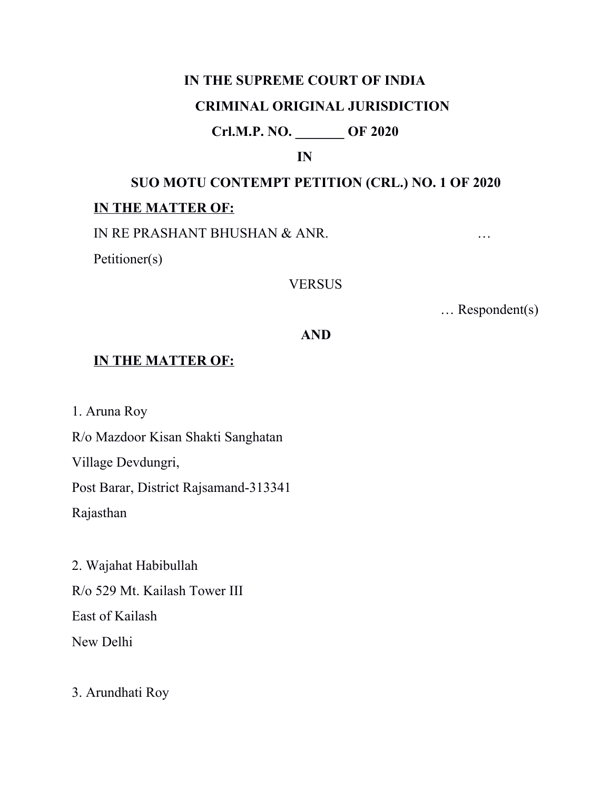## **IN THE SUPREME COURT OF INDIA**

### **CRIMINAL ORIGINAL JURISDICTION**

### **Crl.M.P. NO. \_\_\_\_\_\_\_ OF 2020**

#### **IN**

# **SUO MOTU CONTEMPT PETITION (CRL.) NO. 1 OF 2020**

### **IN THE MATTER OF:**

IN RE PRASHANT BHUSHAN & ANR. …

Petitioner(s)

### **VERSUS**

… Respondent(s)

### **AND**

### **IN THE MATTER OF:**

1. Aruna Roy

R/o Mazdoor Kisan Shakti Sanghatan

Village Devdungri,

Post Barar, District Rajsamand-313341

Rajasthan

2. Wajahat Habibullah R/o 529 Mt. Kailash Tower III East of Kailash New Delhi

3. Arundhati Roy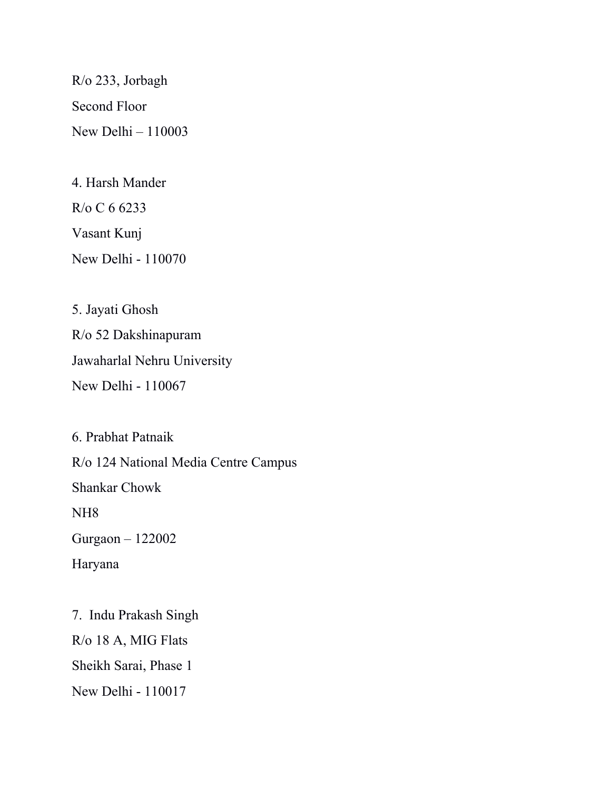R/o 233, Jorbagh Second Floor New Delhi – 110003

4. Harsh Mander R/o C 6 6233 Vasant Kunj New Delhi - 110070

5. Jayati Ghosh R/o 52 Dakshinapuram Jawaharlal Nehru University New Delhi - 110067

6. Prabhat Patnaik R/o 124 National Media Centre Campus Shankar Chowk NH8 Gurgaon – 122002 Haryana

7. Indu Prakash Singh R/o 18 A, MIG Flats Sheikh Sarai, Phase 1 New Delhi - 110017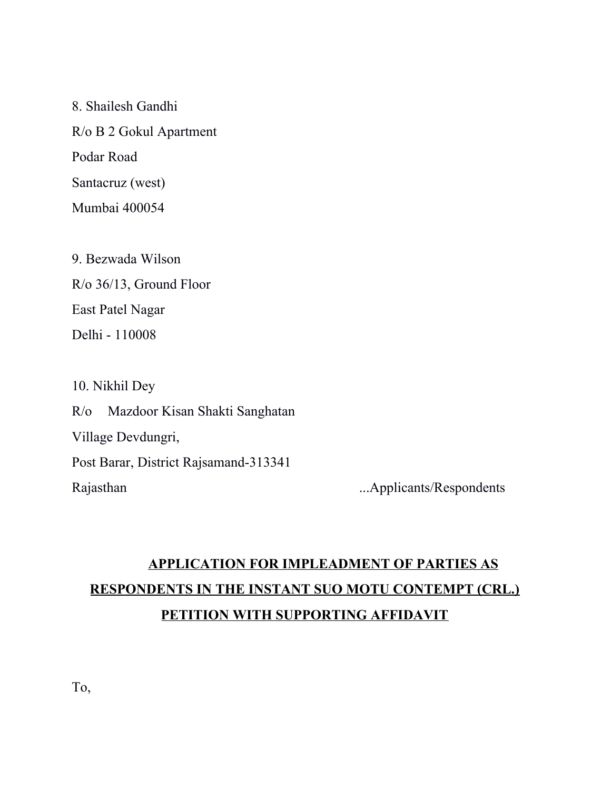8. Shailesh Gandhi R/o B 2 Gokul Apartment Podar Road Santacruz (west) Mumbai 400054

9. Bezwada Wilson R/o 36/13, Ground Floor East Patel Nagar Delhi - 110008

10. Nikhil Dey R/o Mazdoor Kisan Shakti Sanghatan Village Devdungri, Post Barar, District Rajsamand-313341 Rajasthan ...Applicants/Respondents

## **APPLICATION FOR IMPLEADMENT OF PARTIES AS RESPONDENTS IN THE INSTANT SUO MOTU CONTEMPT (CRL.) PETITION WITH SUPPORTING AFFIDAVIT**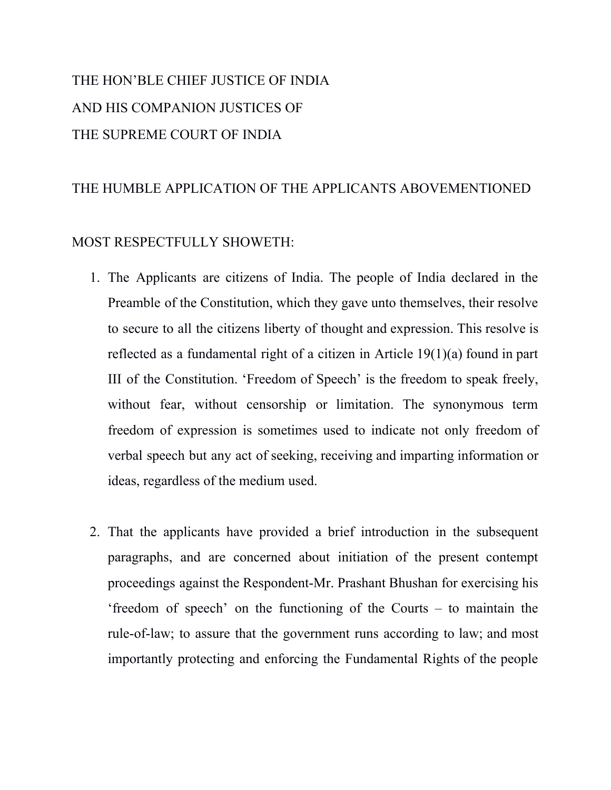## THE HON'BLE CHIEF JUSTICE OF INDIA AND HIS COMPANION JUSTICES OF THE SUPREME COURT OF INDIA

### THE HUMBLE APPLICATION OF THE APPLICANTS ABOVEMENTIONED

### MOST RESPECTFULLY SHOWETH:

- 1. The Applicants are citizens of India. The people of India declared in the Preamble of the Constitution, which they gave unto themselves, their resolve to secure to all the citizens liberty of thought and expression. This resolve is reflected as a fundamental right of a citizen in Article 19(1)(a) found in part III of the Constitution. 'Freedom of Speech' is the freedom to speak freely, without fear, without censorship or limitation. The synonymous term freedom of expression is sometimes used to indicate not only freedom of verbal speech but any act of seeking, receiving and imparting information or ideas, regardless of the medium used.
- 2. That the applicants have provided a brief introduction in the subsequent paragraphs, and are concerned about initiation of the present contempt proceedings against the Respondent-Mr. Prashant Bhushan for exercising his 'freedom of speech' on the functioning of the Courts – to maintain the rule-of-law; to assure that the government runs according to law; and most importantly protecting and enforcing the Fundamental Rights of the people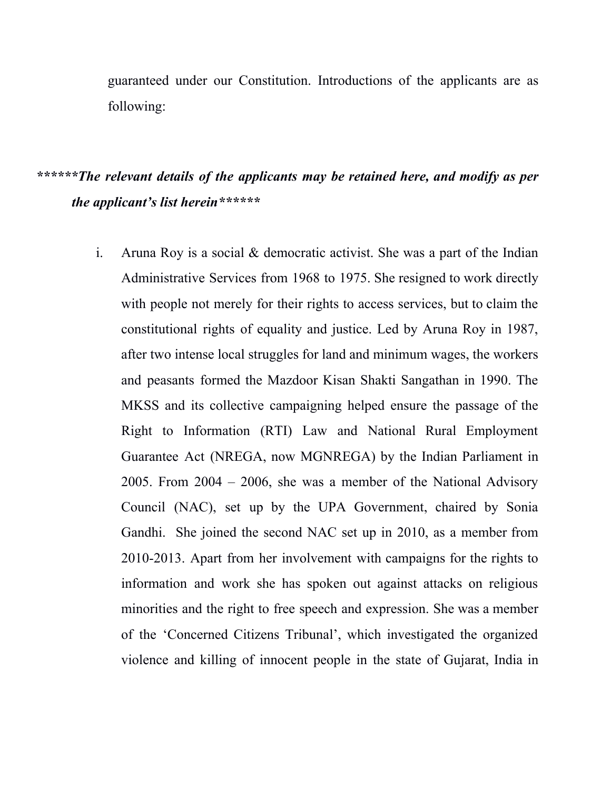guaranteed under our Constitution. Introductions of the applicants are as following:

### *\*\*\*\*\*\*The relevant details of the applicants may be retained here, and modify as per the applicant's list herein\*\*\*\*\*\**

i. Aruna Roy is a social  $&$  democratic activist. She was a part of the Indian Administrative Services from 1968 to 1975. She resigned to work directly with people not merely for their rights to access services, but to claim the constitutional rights of equality and justice. Led by Aruna Roy in 1987, after two intense local struggles for land and minimum wages, the workers and peasants formed the Mazdoor Kisan Shakti Sangathan in 1990. The MKSS and its collective campaigning helped ensure the passage of the Right to Information (RTI) Law and National Rural Employment Guarantee Act (NREGA, now MGNREGA) by the Indian Parliament in 2005. From 2004 – 2006, she was a member of the National Advisory Council (NAC), set up by the UPA Government, chaired by Sonia Gandhi. She joined the second NAC set up in 2010, as a member from 2010-2013. Apart from her involvement with campaigns for the rights to information and work she has spoken out against attacks on religious minorities and the right to free speech and expression. She was a member of the 'Concerned Citizens Tribunal', which investigated the organized violence and killing of innocent people in the state of Gujarat, India in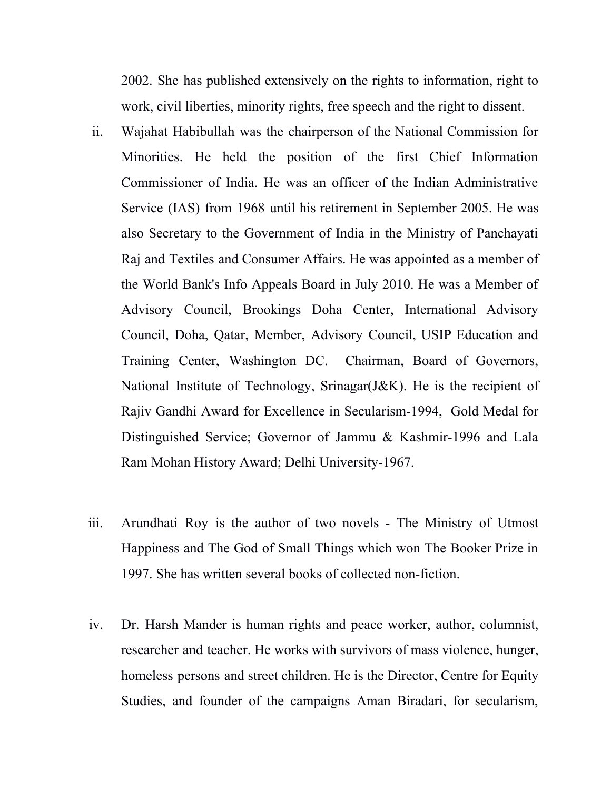2002. She has published extensively on the rights to information, right to work, civil liberties, minority rights, free speech and the right to dissent.

- ii. Wajahat Habibullah was the chairperson of the National Commission for Minorities. He held the position of the first Chief Information Commissioner of India. He was an officer of the Indian Administrative Service (IAS) from 1968 until his retirement in September 2005. He was also Secretary to the Government of India in the Ministry of Panchayati Raj and Textiles and Consumer Affairs. He was appointed as a member of the World Bank's Info Appeals Board in July 2010. He was a Member of Advisory Council, Brookings Doha Center, International Advisory Council, Doha, Qatar, Member, Advisory Council, USIP Education and Training Center, Washington DC. Chairman, Board of Governors, National Institute of Technology, Srinagar(J&K). He is the recipient of Rajiv Gandhi Award for Excellence in Secularism-1994, Gold Medal for Distinguished Service; Governor of Jammu & Kashmir-1996 and Lala Ram Mohan History Award; Delhi University-1967.
- iii. Arundhati Roy is the author of two novels The Ministry of Utmost Happiness and The God of Small Things which won The Booker Prize in 1997. She has written several books of collected non-fiction.
- iv. Dr. Harsh Mander is human rights and peace worker, author, columnist, researcher and teacher. He works with survivors of mass violence, hunger, homeless persons and street children. He is the Director, Centre for Equity Studies, and founder of the campaigns Aman Biradari, for secularism,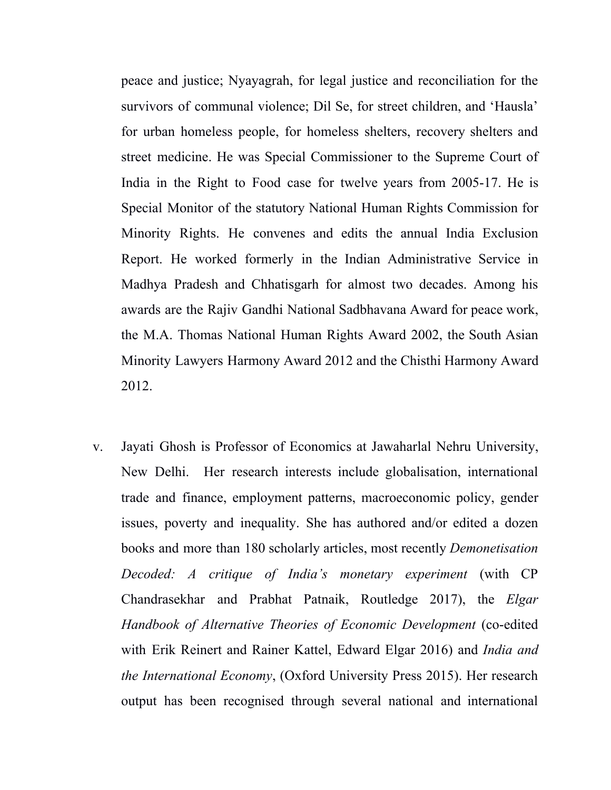peace and justice; Nyayagrah, for legal justice and reconciliation for the survivors of communal violence; Dil Se, for street children, and 'Hausla' for urban homeless people, for homeless shelters, recovery shelters and street medicine. He was Special Commissioner to the Supreme Court of India in the Right to Food case for twelve years from 2005-17. He is Special Monitor of the statutory National Human Rights Commission for Minority Rights. He convenes and edits the annual India Exclusion Report. He worked formerly in the Indian Administrative Service in Madhya Pradesh and Chhatisgarh for almost two decades. Among his awards are the Rajiv Gandhi National Sadbhavana Award for peace work, the M.A. Thomas National Human Rights Award 2002, the South Asian Minority Lawyers Harmony Award 2012 and the Chisthi Harmony Award 2012.

v. Jayati Ghosh is Professor of Economics at Jawaharlal Nehru University, New Delhi. Her research interests include globalisation, international trade and finance, employment patterns, macroeconomic policy, gender issues, poverty and inequality. She has authored and/or edited a dozen books and more than 180 scholarly articles, most recently *Demonetisation Decoded: A critique of India's monetary experiment* (with CP Chandrasekhar and Prabhat Patnaik, Routledge 2017), the *Elgar Handbook of Alternative Theories of Economic Development* (co-edited with Erik Reinert and Rainer Kattel, Edward Elgar 2016) and *India and the International Economy*, (Oxford University Press 2015). Her research output has been recognised through several national and international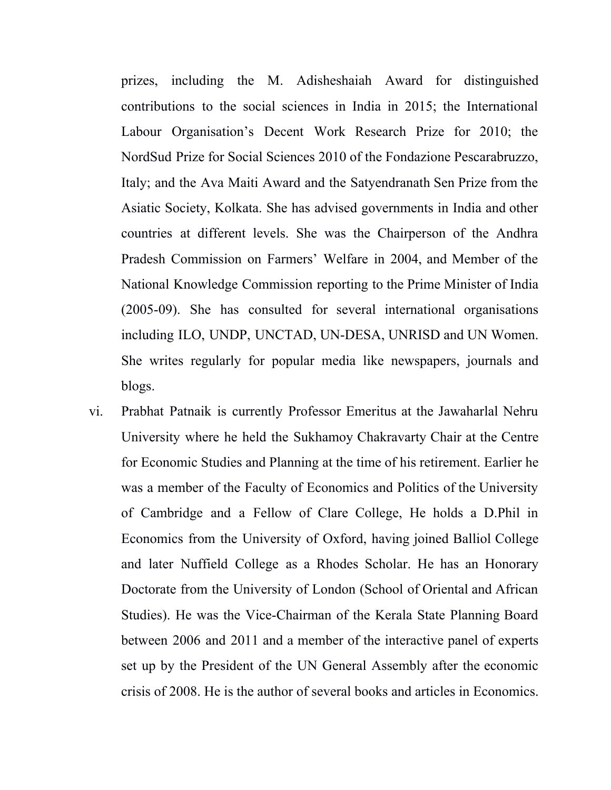prizes, including the M. Adisheshaiah Award for distinguished contributions to the social sciences in India in 2015; the International Labour Organisation's Decent Work Research Prize for 2010; the NordSud Prize for Social Sciences 2010 of the Fondazione Pescarabruzzo, Italy; and the Ava Maiti Award and the Satyendranath Sen Prize from the Asiatic Society, Kolkata. She has advised governments in India and other countries at different levels. She was the Chairperson of the Andhra Pradesh Commission on Farmers' Welfare in 2004, and Member of the National Knowledge Commission reporting to the Prime Minister of India (2005-09). She has consulted for several international organisations including ILO, UNDP, UNCTAD, UN-DESA, UNRISD and UN Women. She writes regularly for popular media like newspapers, journals and blogs.

vi. Prabhat Patnaik is currently Professor Emeritus at the Jawaharlal Nehru University where he held the Sukhamoy Chakravarty Chair at the Centre for Economic Studies and Planning at the time of his retirement. Earlier he was a member of the Faculty of Economics and Politics of the University of Cambridge and a Fellow of Clare College, He holds a D.Phil in Economics from the University of Oxford, having joined Balliol College and later Nuffield College as a Rhodes Scholar. He has an Honorary Doctorate from the University of London (School of Oriental and African Studies). He was the Vice-Chairman of the Kerala State Planning Board between 2006 and 2011 and a member of the interactive panel of experts set up by the President of the UN General Assembly after the economic crisis of 2008. He is the author of several books and articles in Economics.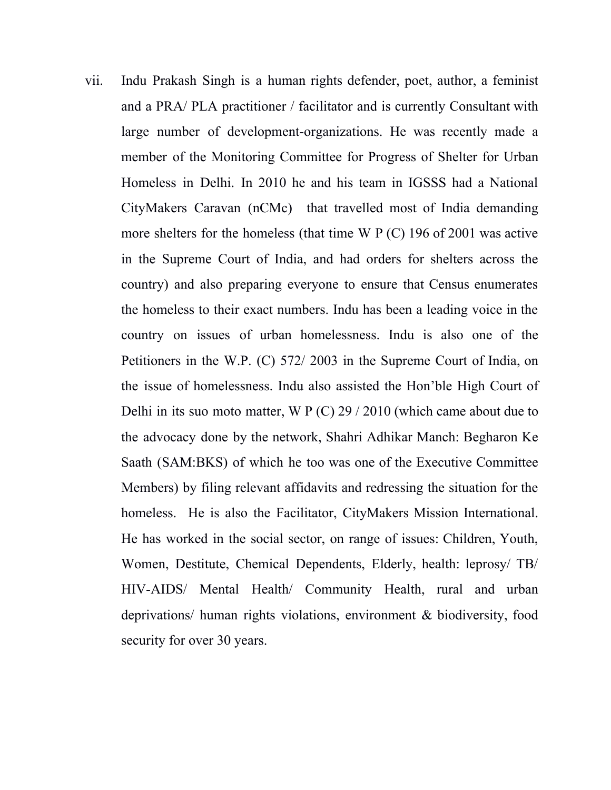vii. Indu Prakash Singh is a human rights defender, poet, author, a feminist and a PRA/ PLA practitioner / facilitator and is currently Consultant with large number of development-organizations. He was recently made a member of the Monitoring Committee for Progress of Shelter for Urban Homeless in Delhi. In 2010 he and his team in IGSSS had a National CityMakers Caravan (nCMc) that travelled most of India demanding more shelters for the homeless (that time W P (C) 196 of 2001 was active in the Supreme Court of India, and had orders for shelters across the country) and also preparing everyone to ensure that Census enumerates the homeless to their exact numbers. Indu has been a leading voice in the country on issues of urban homelessness. Indu is also one of the Petitioners in the W.P. (C) 572/ 2003 in the Supreme Court of India, on the issue of homelessness. Indu also assisted the Hon'ble High Court of Delhi in its suo moto matter, W P (C) 29 / 2010 (which came about due to the advocacy done by the network, Shahri Adhikar Manch: Begharon Ke Saath (SAM:BKS) of which he too was one of the Executive Committee Members) by filing relevant affidavits and redressing the situation for the homeless. He is also the Facilitator, CityMakers Mission International. He has worked in the social sector, on range of issues: Children, Youth, Women, Destitute, Chemical Dependents, Elderly, health: leprosy/ TB/ HIV-AIDS/ Mental Health/ Community Health, rural and urban deprivations/ human rights violations, environment & biodiversity, food security for over 30 years.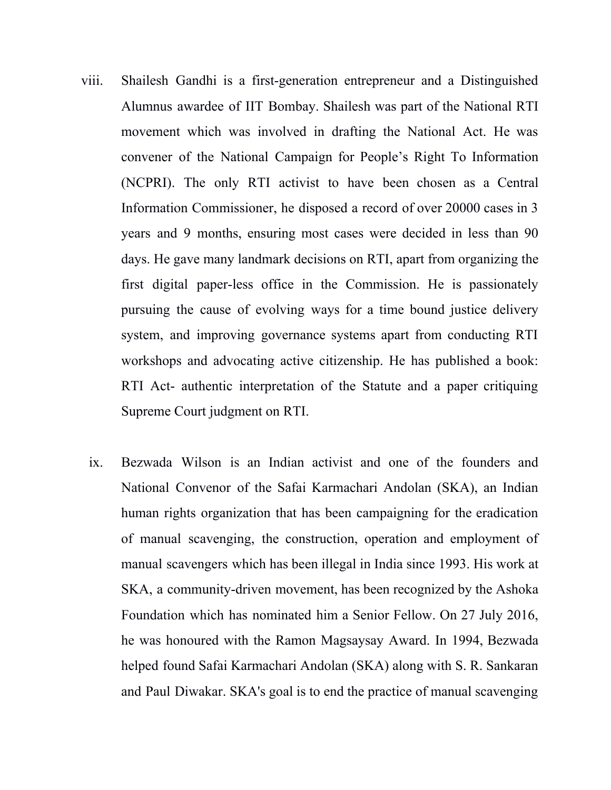- viii. Shailesh Gandhi is a first-generation entrepreneur and a Distinguished Alumnus awardee of IIT Bombay. Shailesh was part of the National RTI movement which was involved in drafting the National Act. He was convener of the National Campaign for People's Right To Information (NCPRI). The only RTI activist to have been chosen as a Central Information Commissioner, he disposed a record of over 20000 cases in 3 years and 9 months, ensuring most cases were decided in less than 90 days. He gave many landmark decisions on RTI, apart from organizing the first digital paper-less office in the Commission. He is passionately pursuing the cause of evolving ways for a time bound justice delivery system, and improving governance systems apart from conducting RTI workshops and advocating active citizenship. He has published a book: RTI Act- authentic interpretation of the Statute and a paper critiquing Supreme Court judgment on RTI.
	- ix. Bezwada Wilson is an Indian activist and one of the founders and National Convenor of the Safai Karmachari Andolan (SKA), an Indian human rights organization that has been campaigning for the eradication of manual scavenging, the construction, operation and employment of manual scavengers which has been illegal in India since 1993. His work at SKA, a community-driven movement, has been recognized by the Ashoka Foundation which has nominated him a Senior Fellow. On 27 July 2016, he was honoured with the Ramon Magsaysay Award. In 1994, Bezwada helped found Safai Karmachari Andolan (SKA) along with S. R. Sankaran and Paul Diwakar. SKA's goal is to end the practice of manual scavenging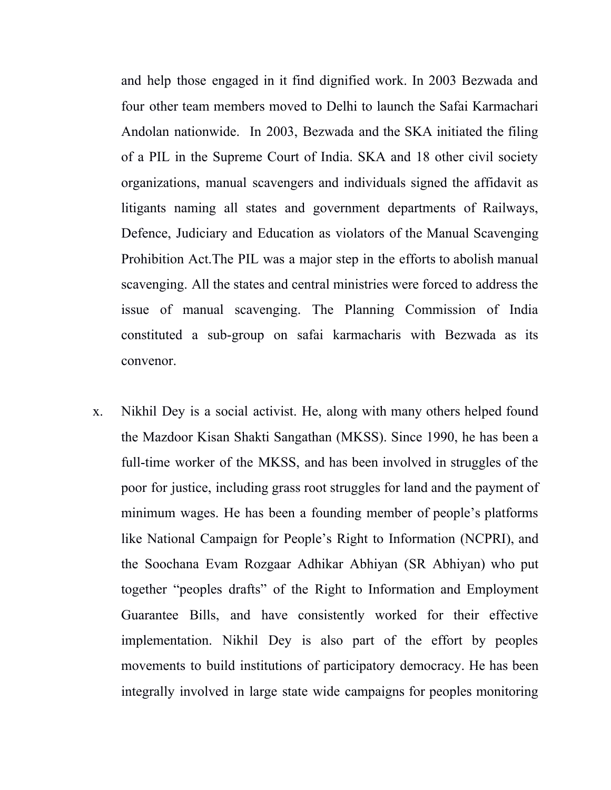and help those engaged in it find dignified work. In 2003 Bezwada and four other team members moved to Delhi to launch the Safai Karmachari Andolan nationwide. In 2003, Bezwada and the SKA initiated the filing of a PIL in the Supreme Court of India. SKA and 18 other civil society organizations, manual scavengers and individuals signed the affidavit as litigants naming all states and government departments of Railways, Defence, Judiciary and Education as violators of the Manual Scavenging Prohibition Act.The PIL was a major step in the efforts to abolish manual scavenging. All the states and central ministries were forced to address the issue of manual scavenging. The Planning Commission of India constituted a sub-group on safai karmacharis with Bezwada as its convenor.

x. Nikhil Dey is a social activist. He, along with many others helped found the Mazdoor Kisan Shakti Sangathan (MKSS). Since 1990, he has been a full-time worker of the MKSS, and has been involved in struggles of the poor for justice, including grass root struggles for land and the payment of minimum wages. He has been a founding member of people's platforms like National Campaign for People's Right to Information (NCPRI), and the Soochana Evam Rozgaar Adhikar Abhiyan (SR Abhiyan) who put together "peoples drafts" of the Right to Information and Employment Guarantee Bills, and have consistently worked for their effective implementation. Nikhil Dey is also part of the effort by peoples movements to build institutions of participatory democracy. He has been integrally involved in large state wide campaigns for peoples monitoring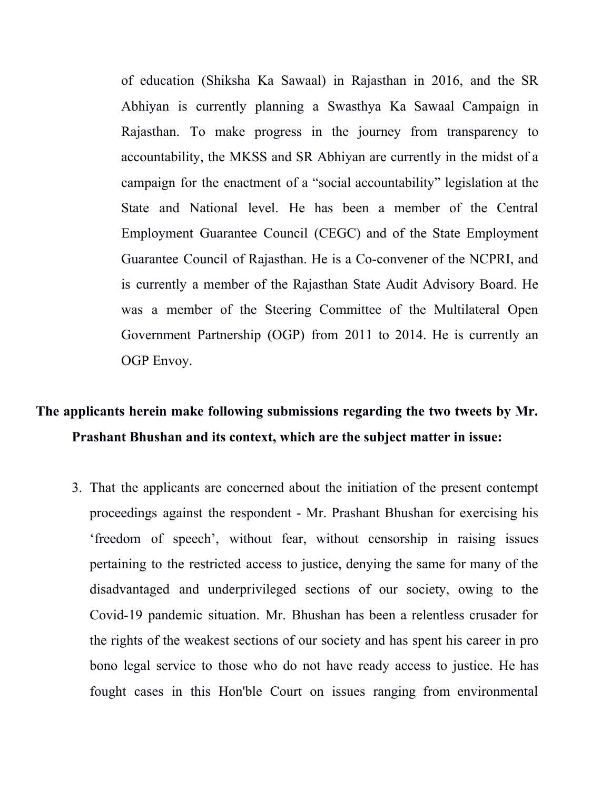of education (Shiksha Ka Sawaal) in Rajasthan in 2016, and the SR Abhiyan is currently planning a Swasthya Ka Sawaal Campaign in Rajasthan. To make progress in the journey from transparency to accountability, the MKSS and SR Abhiyan are currently in the midst of a campaign for the enactment of a "social accountability" legislation at the State and National level. He has been a member of the Central Employment Guarantee Council (CEGC) and of the State Employment Guarantee Council of Rajasthan. He is a Co-convener of the NCPRI, and is currently a member of the Rajasthan State Audit Advisory Board. He was a member of the Steering Committee of the Multilateral Open Government Partnership (OGP) from 2011 to 2014. He is currently an OGP Envoy.

### **The applicants herein make following submissions regarding the two tweets by Mr. Prashant Bhushan and its context, which are the subject matter in issue:**

3. That the applicants are concerned about the initiation of the present contempt proceedings against the respondent - Mr. Prashant Bhushan for exercising his 'freedom of speech', without fear, without censorship in raising issues pertaining to the restricted access to justice, denying the same for many of the disadvantaged and underprivileged sections of our society, owing to the Covid-19 pandemic situation. Mr. Bhushan has been a relentless crusader for the rights of the weakest sections of our society and has spent his career in pro bono legal service to those who do not have ready access to justice. He has fought cases in this Hon'ble Court on issues ranging from environmental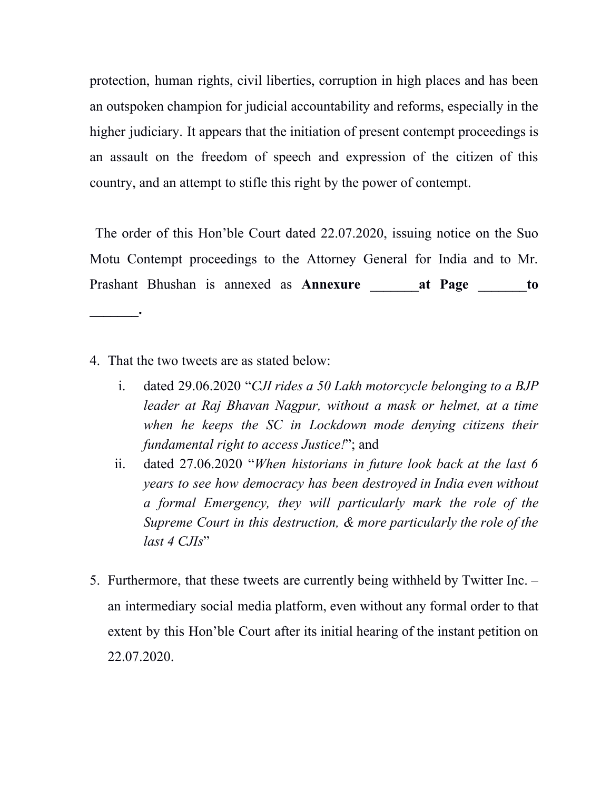protection, human rights, civil liberties, corruption in high places and has been an outspoken champion for judicial accountability and reforms, especially in the higher judiciary. It appears that the initiation of present contempt proceedings is an assault on the freedom of speech and expression of the citizen of this country, and an attempt to stifle this right by the power of contempt.

The order of this Hon'ble Court dated 22.07.2020, issuing notice on the Suo Motu Contempt proceedings to the Attorney General for India and to Mr. Prashant Bhushan is annexed as **Annexure \_\_\_\_\_\_\_at Page \_\_\_\_\_\_\_to**

4. That the two tweets are as stated below:

**\_\_\_\_\_\_\_.**

- i. dated 29.06.2020 "*CJI rides a 50 Lakh motorcycle belonging to a BJP leader at Raj Bhavan Nagpur, without a mask or helmet, at a time when he keeps the SC in Lockdown mode denying citizens their fundamental right to access Justice!*"; and
- ii. dated 27.06.2020 "*When historians in future look back at the last 6 years to see how democracy has been destroyed in India even without a formal Emergency, they will particularly mark the role of the Supreme Court in this destruction, & more particularly the role of the last 4 CJIs*"
- 5. Furthermore, that these tweets are currently being withheld by Twitter Inc. an intermediary social media platform, even without any formal order to that extent by this Hon'ble Court after its initial hearing of the instant petition on 22.07.2020.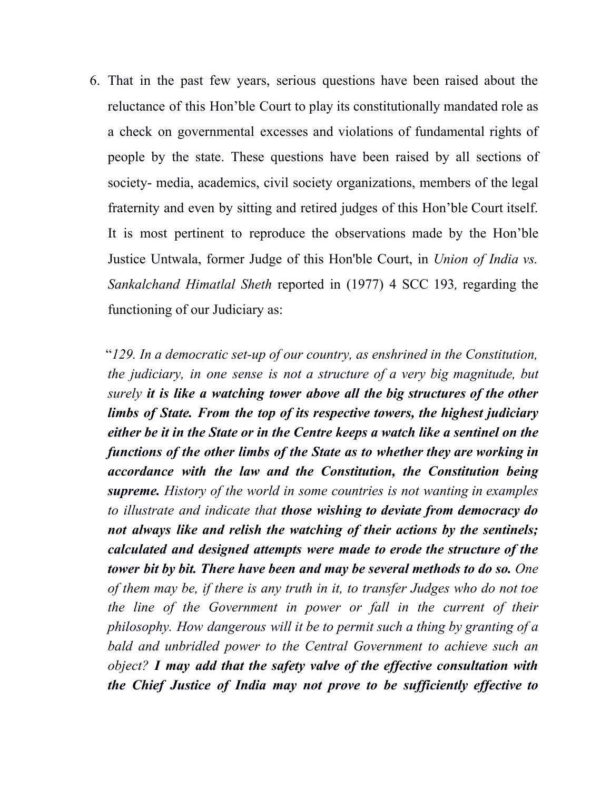6. That in the past few years, serious questions have been raised about the reluctance of this Hon'ble Court to play its constitutionally mandated role as a check on governmental excesses and violations of fundamental rights of people by the state. These questions have been raised by all sections of society- media, academics, civil society organizations, members of the legal fraternity and even by sitting and retired judges of this Hon'ble Court itself. It is most pertinent to reproduce the observations made by the Hon'ble Justice Untwala, former Judge of this Hon'ble Court, in *Union of India vs. Sankalchand Himatlal Sheth* reported in (1977) 4 SCC 193*,* regarding the functioning of our Judiciary as:

"*129. In a democratic set-up of our country, as enshrined in the Constitution, the judiciary, in one sense is not a structure of a very big magnitude, but surely it is like a watching tower above all the big structures of the other limbs of State. From the top of its respective towers, the highest judiciary either be it in the State or in the Centre keeps a watch like a sentinel on the functions of the other limbs of the State as to whether they are working in accordance with the law and the Constitution, the Constitution being supreme. History of the world in some countries is not wanting in examples to illustrate and indicate that those wishing to deviate from democracy do not always like and relish the watching of their actions by the sentinels; calculated and designed attempts were made to erode the structure of the tower bit by bit. There have been and may be several methods to do so. One of them may be, if there is any truth in it, to transfer Judges who do not toe the line of the Government in power or fall in the current of their philosophy. How dangerous will it be to permit such a thing by granting of a bald and unbridled power to the Central Government to achieve such an object? I may add that the safety valve of the ef ective consultation with the Chief Justice of India may not prove to be suf iciently ef ective to*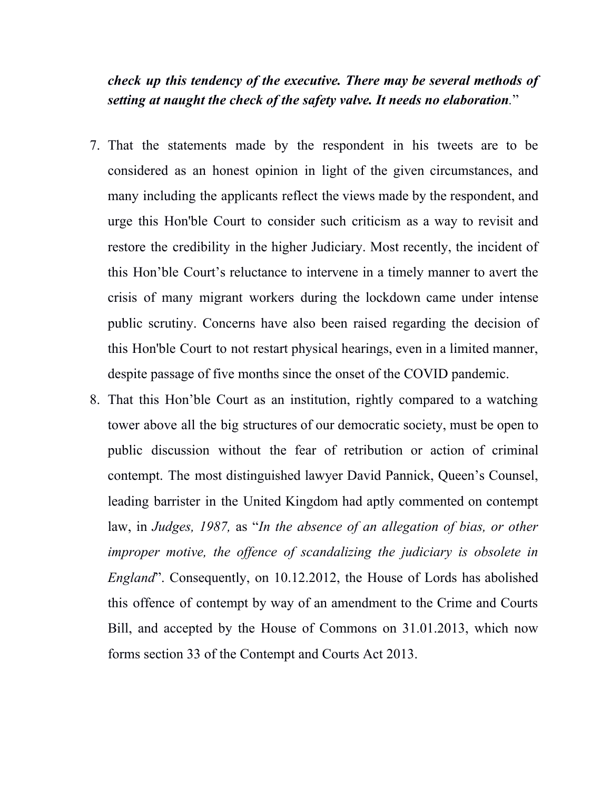### *check up this tendency of the executive. There may be several methods of setting at naught the check of the safety valve. It needs no elaboration.*"

- 7. That the statements made by the respondent in his tweets are to be considered as an honest opinion in light of the given circumstances, and many including the applicants reflect the views made by the respondent, and urge this Hon'ble Court to consider such criticism as a way to revisit and restore the credibility in the higher Judiciary. Most recently, the incident of this Hon'ble Court's reluctance to intervene in a timely manner to avert the crisis of many migrant workers during the lockdown came under intense public scrutiny. Concerns have also been raised regarding the decision of this Hon'ble Court to not restart physical hearings, even in a limited manner, despite passage of five months since the onset of the COVID pandemic.
- 8. That this Hon'ble Court as an institution, rightly compared to a watching tower above all the big structures of our democratic society, must be open to public discussion without the fear of retribution or action of criminal contempt. The most distinguished lawyer David Pannick, Queen's Counsel, leading barrister in the United Kingdom had aptly commented on contempt law, in *Judges, 1987,* as "*In the absence of an allegation of bias, or other improper motive, the of ence of scandalizing the judiciary is obsolete in England*". Consequently, on 10.12.2012, the House of Lords has abolished this offence of contempt by way of an amendment to the Crime and Courts Bill, and accepted by the House of Commons on 31.01.2013, which now forms section 33 of the Contempt and Courts Act 2013.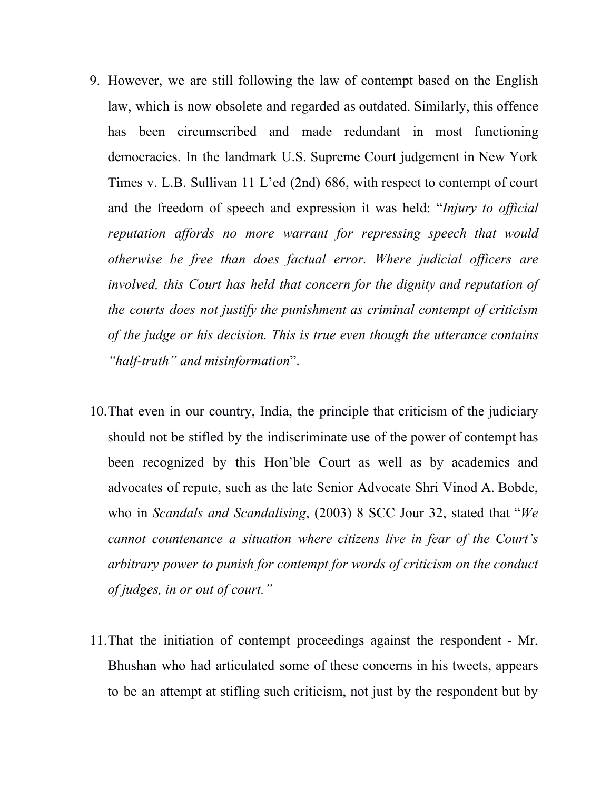- 9. However, we are still following the law of contempt based on the English law, which is now obsolete and regarded as outdated. Similarly, this offence has been circumscribed and made redundant in most functioning democracies. In the landmark U.S. Supreme Court judgement in New York Times v. L.B. Sullivan 11 L'ed (2nd) 686, with respect to contempt of court and the freedom of speech and expression it was held: "*Injury to official reputation af ords no more warrant for repressing speech that would otherwise be free than does factual error. Where judicial of icers are involved, this Court has held that concern for the dignity and reputation of the courts does not justify the punishment as criminal contempt of criticism of the judge or his decision. This is true even though the utterance contains "half-truth" and misinformation*".
- 10.That even in our country, India, the principle that criticism of the judiciary should not be stifled by the indiscriminate use of the power of contempt has been recognized by this Hon'ble Court as well as by academics and advocates of repute, such as the late Senior Advocate Shri Vinod A. Bobde, who in *Scandals and Scandalising*, (2003) 8 SCC Jour 32, stated that "*We cannot countenance a situation where citizens live in fear of the Court's arbitrary power to punish for contempt for words of criticism on the conduct of judges, in or out of court."*
- 11.That the initiation of contempt proceedings against the respondent Mr. Bhushan who had articulated some of these concerns in his tweets, appears to be an attempt at stifling such criticism, not just by the respondent but by